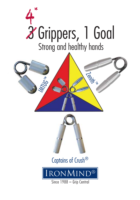





# Captains of Crush®

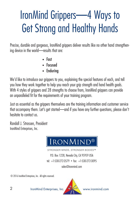# IronMind Grippers—4 Ways to Get Strong and Healthy Hands

Precise, durable and gorgeous, IronMind grippers deliver results like no other hand strengthening device in the world—results that are:

- Fast
- Focused
- Enduring

We'd like to introduce our grippers to you, explaining the special features of each, and tell you how they work together to help you reach your grip strength and hand health goals. With 4 styles of grippers and 28 strengths to choose from, IronMind grippers can provide an unparalleled fit for the requirements of your training program.

Just as essential as the grippers themselves are the training information and customer service that accompany them. Let's get started—and if you have any further questions, please don't hesitate to contact us.

Randall J. Strossen, President IronMind Enterprises, Inc.



**STRONGER BODIES™** 

P.O. Box 1228, Nevada City, CA 95959 USA tel: +1-530-272-3579 • fax: +1-530-272-3095

sales@ironmind.com

© 2016 IronMind Enterprises, Inc. All rights reserved.



2 IronMind Enterprises, Inc. www.ironmind.com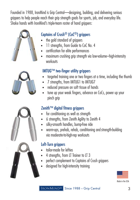Founded in 1988, IronMind is Grip Central—designing, building, and delivering serious grippers to help people reach their grip strength goals for sports, job, and everyday life. Shake hands with IronMind's triple-team roster of hand grippers:



# Captains of Crush® (CoC®) grippers

- the gold standard of grippers
- 11 strengths, from Guide to CoC No. 4
- certification for elite performances
- maximum crushing grip strength via low-volume–high-intensity workouts

# IMTUG™ two-finger utility grippers

- targeted training one or two fingers at a time, including the thumb
- 7 strengths, from IMTUG1 to IMTUG7
- reduced pressure on soft tissue of hands
- tune up your weak fingers, advance on CoCs, power up your pinch grip

# Zenith™ digital fitness grippers

- for conditioning as well as strength
- 6 strengths, from Zenith Agility to Zenith 4
- silky-smooth handles, bump-free ride
- warm-ups, prehab, rehab, conditioning and strength-building via moderate-to-high-rep workouts

# Left-Turn arippers

- tailor-made for lefties
- 4 strengths, from LT Trainer to LT 3
- perfect complement to Captains of Crush grippers
- designed for high-intensity training



Made in the USA



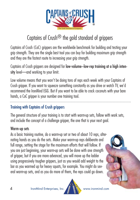

# Captains of Crush<sup>®</sup> the gold standard of grippers

Captains of Crush (CoC) grippers are the worldwide benchmark for building and testing your grip strength. They are the single best tool you can buy for building maximum grip strength and they are the fastest route to increasing your grip strength.

Captains of Crush grippers are designed for low-volume–low-rep training at a high intensity level—and working to your limit.

Low volume means that you won't be doing tons of reps each week with your Captains of Crush gripper. If you want to squeeze something constantly as you drive or watch TV, we'd recommend the IronMind EGG. But if you want to be able to crack coconuts with your bare hands, a CoC gripper is your number one training tool.

## Training with Captains of Crush grippers

The general structure of your training is to start with warm-up sets, follow with work sets, and include the concept of a challenge gripper, the one that is your next goal.

#### Warm-up sets

As a basic training routine, do a warm-up set or two of about 10 reps, alternating hands as you do the sets. Make your warm-up reps deliberate and full range, setting the stage for the maximum efforts that will follow. If you are just beginning, your warm-up sets will be done with one strength of gripper, but if you are more advanced, you will move up the ladder using progressively tougher grippers, just as you would add weight to the bar as you warmed up for heavy squats, for example. You might do several warm-up sets, and as you do more of them, the reps could go down.

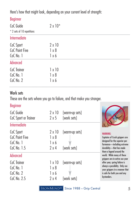Here's how that might look, depending on your current level of strength:

#### Beginner

| CoC Guide<br>* 2 sets of 10 repetitions  | $2 \times 10^*$                        |  |
|------------------------------------------|----------------------------------------|--|
| Intermediate                             |                                        |  |
| CoC Sport<br>CoC Point Five<br>CoC No. 1 | $2 \times 10$<br>$1 \times 8$<br>1 x 6 |  |
| Advanced                                 |                                        |  |
| CoC Trainer<br>CoC No. 1<br>CoC No. 2    | $1 \times 10$<br>$1 \times 8$<br>1x6   |  |

#### Work sets

These are the sets where you go to failure, and that make you stronger.

#### Beginner

| CoC Guide<br>CoC Sport or Trainer                                | $2 \times 10$<br>2x5                                   | [warm-up sets]<br>[work sets] |                                                                                                                                                                                                                   |
|------------------------------------------------------------------|--------------------------------------------------------|-------------------------------|-------------------------------------------------------------------------------------------------------------------------------------------------------------------------------------------------------------------|
| Intermediate                                                     |                                                        |                               |                                                                                                                                                                                                                   |
| CoC Sport<br>CoC Point Five<br>CoC No. 1<br>CoC No. 1.5          | $2 \times 10$<br>$1 \times 8$<br>1 × 6<br>2x4          | [warm-up sets]<br>[work sets] | <b>WARNING:</b><br>Captains of Crush grippers are<br>designed for the superior per-<br>formance-including extreme<br>durability-that has made<br>them a legend around the                                         |
| Advanced<br>CoC Trainer<br>CoC No. 1<br>CoC No. 2<br>CoC No. 2.5 | 1 x 10<br>$1 \times 8$<br>$1 \times 6$<br>$2 \times 4$ | [warm-up sets]<br>[work sets] | world. While many of these<br>grippers are in active use year<br>after year, spring failure is<br>always a possibility. Only use<br>your grippers in a manner that<br>is safe for both you and any<br>bystanders. |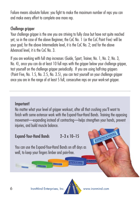Failure means absolute failure: you fight to make the maximum number of reps you can and make every effort to complete one more rep.

#### Challenge gripper

Your challenge gripper is the one you are striving to fully close but have not quite reached yet, so in the case of the above Beginner, the CoC No. 1 (or the CoC Point Five) will be your goal; for the above Intermediate level, it is the CoC No. 2; and for the above Advanced level, it is the CoC No. 3.

If you are working with full step increases (Guide, Sport, Trainer, No. 1, No. 2, No. 3, No. 4), once you can do at least 10 full reps with the gripper below your challenge gripper, test yourself on the challenge gripper periodically. If you are using half-step grippers (Point Five, No. 1.5, No. 2.5, No. 3.5), you can test yourself on your challenge gripper once you are in the range of at least 5 full, consecutive reps on your work-set gripper.

#### Important!

No matter what your level of gripper workout, after all that crushing you'll want to finish with some extensor work with the Expand-Your-Hand Bands. Training the opposing movement—expanding instead of contracting—helps strengthen your hands, prevent injuries, and build muscle balance.

## Expand-Your-Hand Bands 2–3 x 10–15

You can use the Expand-Your-Hand Bands on off days as well, to keep your fingers limber and pain-free.

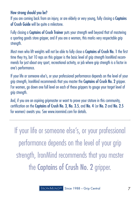#### How strong should you be?

If you are coming back from an injury, or are elderly or very young, fully closing a Captains of Crush Guide will be quite a milestone.

Fully closing a Captains of Crush Trainer puts your strength well beyond that of mastering a sporting goods store gripper, and if you are a woman, this marks very respectable grip strength.

Most men who lift weights will not be able to fully close a Captains of Crush No. 1 the first time they try, but 10 reps on this gripper is the basic level of grip strength IronMind recommends for just about any sport, recreational activity, or job where grip strength is a factor in one's performance.

If your life or someone else's, or your professional performance depends on the level of your grip strength, IronMind recommends that you master the Captains of Crush No. 2 gripper. For women, go down one full level on each of these grippers to gauge your target level of grip strength.

And, if you are an aspiring gripmaster or want to prove your stature in this community, certification on the Captains of Crush No. 3, No. 3.5, and No. 4 (or No. 2 and No. 2.5 for women) awaits you. See www.ironmind.com for details.

If your life or someone else's, or your professional performance depends on the level of your grip strength, IronMind recommends that you master the Captains of Crush No. 2 gripper.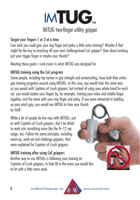

#### Target your fingers 1 or 2 at a time

Ever wish you could give your ring finger and pinky a little extra training? Wonder if that might be the key to knocking off your next challenge-level CoC gripper? How about working just your trigger finger or maybe your thumb?

Meeting these goals—and more–is what IMTUG was designed for.

### IMTUG training using the CoC program

Some people, including top names in grip strength and armwrestling, have built their entire grip training programs around using IMTUGs. In this case, you would train the same way as you would with Captains of Crush grippers, but instead of using your whole hand for each set, you would isolate your fingers by, for example, training your index and middle finger together, and the same with your ring finger and pinky. If you were interested in building up your pinch grip, you would use IMTUG to train your thumb by itself.

While a lot of people do low reps with IMTUGs, just as with Captains of Crush grippers, don't be afraid to work into something more like the 8–12 rep range, too. Follow the same principles, including warm-up, work-set and challenge grippers, that were explained for Captains of Crush grippers.

# IMTUG training after using CoC grippers

Another way to use IMTUGs is following your training on Captains of Crush grippers, to help fill in the areas you would like to hit with a little more work.

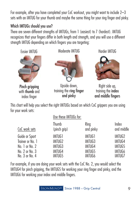For example, after you have completed your CoC workout, you might want to include 2–3 sets with an IMTUG for your thumb and maybe the same thing for your ring finger and pinky.

# Which IMTUGs should you use?

There are seven different strengths of IMTUGs, from 1 (easiest) to 7 (hardest), IMTUG recognizes that your fingers differ in both length and strength, and you will use a different strength IMTUG depending on which fingers you are targeting:

Easier IMTUG



Pinch gripping with thumb and index finger

Moderate IMTUG



Upside down, training the ring finger and pinky

Harder IMTUG



Right side up, training the index and middle fingers

This chart will help you select the right IMTUGs based on which CoC grippers you are using for your work sets: Use these IMTUGs for:

|                  | USE THESE IMTUUS TOT. |                   |                     |  |
|------------------|-----------------------|-------------------|---------------------|--|
| CoC work sets    | Thumb<br>(pinch grip) | Ring<br>and pinky | Index<br>and middle |  |
| Guide or Sport   | IMTUG1                | IMTUG1            | IMTUG2              |  |
| Trainer or No. 1 | IMTUG2                | IMTUG3            | IMTUG4              |  |
| No. 1 or No. 2   | IMTUG3                | IMTUG4            | IMTUG5              |  |
| No. 2 or No. 3   | IMTUG4                | IMTUG5            | IMTUG6              |  |
| No. 3 or No. 4   | IMTUG5                | IMTUG6            | IMTUG7              |  |

For example, if you are doing your work sets with the CoC No. 2, you would select the IMTUG4 for pinch gripping, the IMTUG5 for working your ring finger and pinky, and the IMTUG6 for working your index and middle fingers.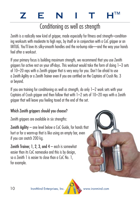# ZENITH<sup>™</sup>

# Conditioning as well as strength

Zenith is a radically new kind of gripper, made especially for fitness and strength–conditioning workouts with moderate to high reps, by itself or in conjunction with a CoC gripper or an IMTUG. You'll love its silky-smooth handles and the no-bump ride—and the way your hands feel after a workout.

If your primary focus is building maximum strength, we recommend that you use Zenith grippers for active rest on your off-days. This workout would take the form of doing 1–3 sets of 10–20 reps with a Zenith gripper that is very easy for you. Don't be afraid to use a Zenith Agility or a Zenith Trainer even if you are certified on the Captains of Crush No. 3 or beyond.

If you are training for conditioning as well as strength, do only 1–2 work sets with your Captains of Crush aripper and then follow that with 1–2 sets of 10–20 reps with a Zenith gripper that will leave you feeling taxed at the end of the set.

# Which Zenith arippers should you choose?

Zenith grippers are available in six strengths:

Zenith Agility – one level below a CoC Guide, for hands that hurt or for a warm-up that is like using an empty bar, even if you can snatch 200 kg.

Zenith Trainer, 1, 2, 3, and  $4 -$  each is somewhat easier than its CoC namesake and this is by design, so a Zenith 1 is easier to close than a CoC No. 1, for example.



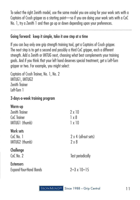To select the right Zenith model, use the same model you are using for your work sets with a Captains of Crush gripper as a starting point—so if you are doing your work sets with a CoC No. 1, try a Zenith 1 and then go up or down depending upon your preferences.

Going forward: keep it simple, take it one step at a time

If you can buy only one grip strength training tool, get a Captains of Crush gripper. The next step is to get a second and possibly a third CoC gripper, each a different strength. Add a Zenith or IMTUG next, choosing what best complements your training goals. And if you think that your left hand deserves special treatment, get a Left-Turn gripper or two. For example, you might select:

Captains of Crush Trainer, No. 1, No. 2 IMTUG1, IMTUG2 Zenith Trainer Left-Turn 1

3-days-a-week training program

| Warm-up                |                          |  |
|------------------------|--------------------------|--|
| Zenith Trainer         | $2 \times 10$            |  |
| CoC Trainer            | 1 x 8                    |  |
| IMTUG1 (thumb)         | $1 \times 10$            |  |
| Work sets              |                          |  |
| $CoC$ No. $1$          | 2 x 4 (all-out sets)     |  |
| IMTUG2 (thumb)         | $2 \times 8$             |  |
| Challenge              |                          |  |
| CoC No. 2              | <b>Test periodically</b> |  |
| <b>Extensors</b>       |                          |  |
| Expand-Your-Hand Bands | $2 - 3 \times 10 - 15$   |  |